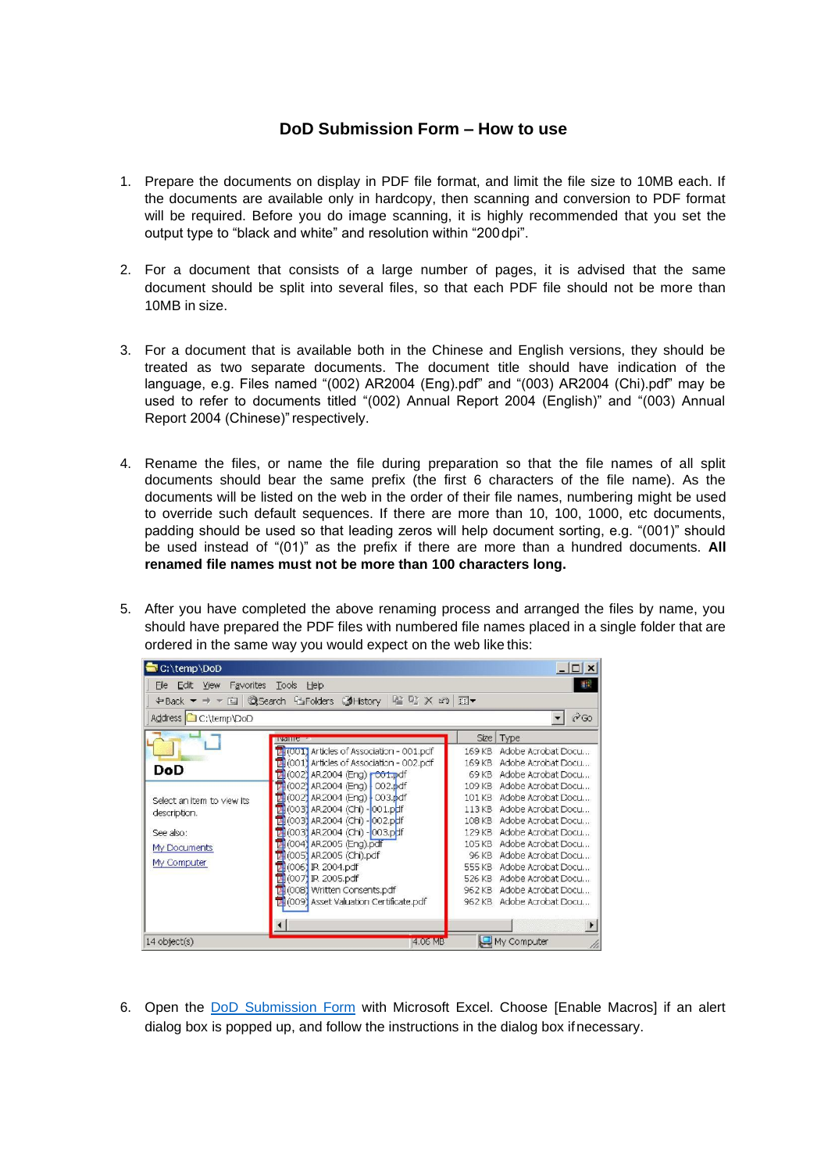## **DoD Submission Form – How to use**

- 1. Prepare the documents on display in PDF file format, and limit the file size to 10MB each. If the documents are available only in hardcopy, then scanning and conversion to PDF format will be required. Before you do image scanning, it is highly recommended that you set the output type to "black and white" and resolution within "200dpi".
- 2. For a document that consists of a large number of pages, it is advised that the same document should be split into several files, so that each PDF file should not be more than 10MB in size.
- 3. For a document that is available both in the Chinese and English versions, they should be treated as two separate documents. The document title should have indication of the language, e.g. Files named "(002) AR2004 (Eng).pdf" and "(003) AR2004 (Chi).pdf" may be used to refer to documents titled "(002) Annual Report 2004 (English)" and "(003) Annual Report 2004 (Chinese)" respectively.
- 4. Rename the files, or name the file during preparation so that the file names of all split documents should bear the same prefix (the first 6 characters of the file name). As the documents will be listed on the web in the order of their file names, numbering might be used to override such default sequences. If there are more than 10, 100, 1000, etc documents, padding should be used so that leading zeros will help document sorting, e.g. "(001)" should be used instead of "(01)" as the prefix if there are more than a hundred documents. **All renamed file names must not be more than 100 characters long.**
- 5. After you have completed the above renaming process and arranged the files by name, you should have prepared the PDF files with numbered file names placed in a single folder that are ordered in the same way you would expect on the web like this:

| C:\temp\DoD                               |                                                    |        | $ \Box$ $\times$          |  |  |
|-------------------------------------------|----------------------------------------------------|--------|---------------------------|--|--|
| <b>Yiew</b><br>Favorites<br>Edit<br>File  | Tools Help                                         |        | 肅                         |  |  |
|                                           |                                                    |        |                           |  |  |
| $\mathcal{C}$ Go<br>Address C C:\temp\DoD |                                                    |        |                           |  |  |
|                                           | <b>INGHILS</b>                                     |        | Size   Type               |  |  |
|                                           | MI(001) Articles of Association - 001.pdf          | 169 KB | Adobe Acrobat Docu        |  |  |
| DoD                                       | $\sqrt{2}$ (001) Articles of Association - 002.pdf | 169 KB | Adobe Acrobat Docu        |  |  |
|                                           | 2002) AR2004 (Eng) r001.pdf                        | 69 KB  | Adobe Acrobat Docu        |  |  |
|                                           | 74(002) AR 2004 (Eng) 002.pdf                      | 109 KB | Adobe Acrobat Docu        |  |  |
| Select an item to view its                | (002) AR2004 (Eng) 003.pdf<br>м                    | 101 KB | Adobe Acrobat Docu        |  |  |
| description.                              | 24 (003) AR 2004 (Chi) - 001.pdf                   |        | 113 KB Adobe Acrobat Docu |  |  |
|                                           | (003) AR 2004 (Chi) - 002.pdf                      |        | 108 KB Adobe Acrobat Docu |  |  |
| See also:                                 | M(003) AR 2004 (Chi) - 003.pdf                     |        | 129 KB Adobe Acrobat Docu |  |  |
| My Documents                              | (004) AR2005 (Eng).pdf                             |        | 105 KB Adobe Acrobat Docu |  |  |
|                                           | (005) AR2005 (Chi).pdf                             |        | 96 KB Adobe Acrobat Docu  |  |  |
| My Computer                               | (006) IR 2004.pdf<br>國                             |        | 555 KB Adobe Acrobat Docu |  |  |
|                                           | 1007 IR 2005.pdf                                   |        | 526 KB Adobe Acrobat Docu |  |  |
|                                           | (008) Written Consents.pdf                         |        | 962 KB Adobe Acrobat Docu |  |  |
|                                           | 1009) Asset Valuation Certificate.pdf              |        | 962 KB Adobe Acrobat Docu |  |  |
|                                           |                                                    |        | $\mathbf{F}$              |  |  |
| $14$ object(s)                            | 4.06 MB                                            |        | My Computer               |  |  |

6. Open the [DoD Submission Form](https://www.sfc.hk/web/EN/forms/listings-and-takeovers/) with Microsoft Excel. Choose [Enable Macros] if an alert dialog box is popped up, and follow the instructions in the dialog box ifnecessary.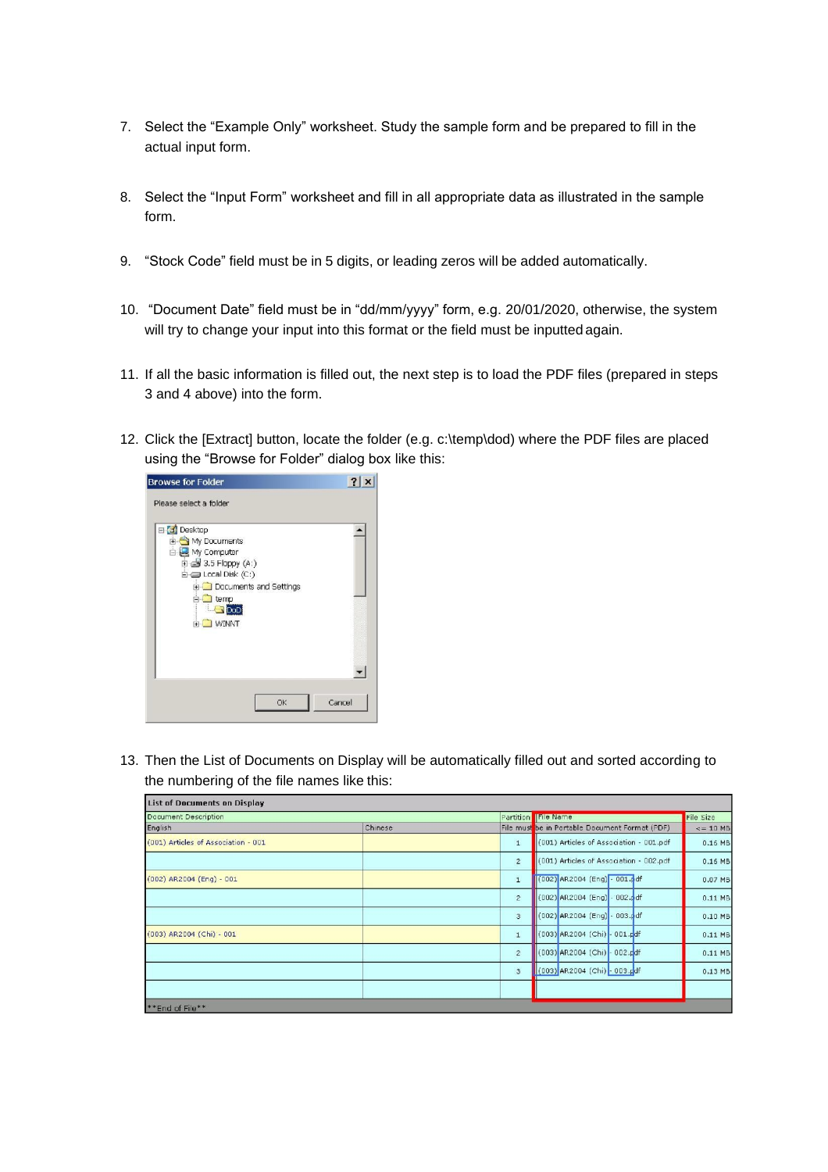- 7. Select the "Example Only" worksheet. Study the sample form and be prepared to fill in the actual input form.
- 8. Select the "Input Form" worksheet and fill in all appropriate data as illustrated in the sample form.
- 9. "Stock Code" field must be in 5 digits, or leading zeros will be added automatically.
- 10. "Document Date" field must be in "dd/mm/yyyy" form, e.g. 20/01/2020, otherwise, the system will try to change your input into this format or the field must be inputted again.
- 11. If all the basic information is filled out, the next step is to load the PDF files (prepared in steps 3 and 4 above) into the form.
- 12. Click the [Extract] button, locate the folder (e.g. c:\temp\dod) where the PDF files are placed using the "Browse for Folder" dialog box like this:



13. Then the List of Documents on Display will be automatically filled out and sorted according to the numbering of the file names like this:

| List of Documents on Display        |         |                                                           |               |
|-------------------------------------|---------|-----------------------------------------------------------|---------------|
| Document Description                |         | Partition File Name                                       | File Size     |
| English                             | Chinese | File must be in Portable Document Format (PDF)            | $\le$ = 10 MB |
| (001) Articles of Association - 001 |         | (001) Articles of Association - 001.pdf<br>$\mathbf{1}$   | $0.16$ MB     |
|                                     |         | (001) Articles of Association - 002.pdf<br>$\overline{2}$ | $0.16$ MB     |
| (002) AR2004 (Eng) - 001            |         | (002) AR2004 (Eng) - 001.pdf<br>$\mathbf{1}$              | 0.07 MB       |
|                                     |         | (002) AR2004 (Eng) - 002.pdf<br>$\overline{c}$            | $0.11$ MB     |
|                                     |         | $(002)$ AR2004 (Eng) - 003.pdf<br>3                       | $0.10$ MB     |
| (003) AR2004 (Chi) - 001            |         | (003) AR2004 (Chi) - 001.pdf<br>$1\,$                     | $0.11$ MB     |
|                                     |         | (003) AR2004 (Chi) - 002.pdf<br>$\overline{c}$            | $0.11$ MB     |
|                                     |         | $\overline{3}$<br>(003) AR2004 (Chi) - 003.pdf            | $0.13$ MB     |
|                                     |         |                                                           |               |
| **End of File**                     |         |                                                           |               |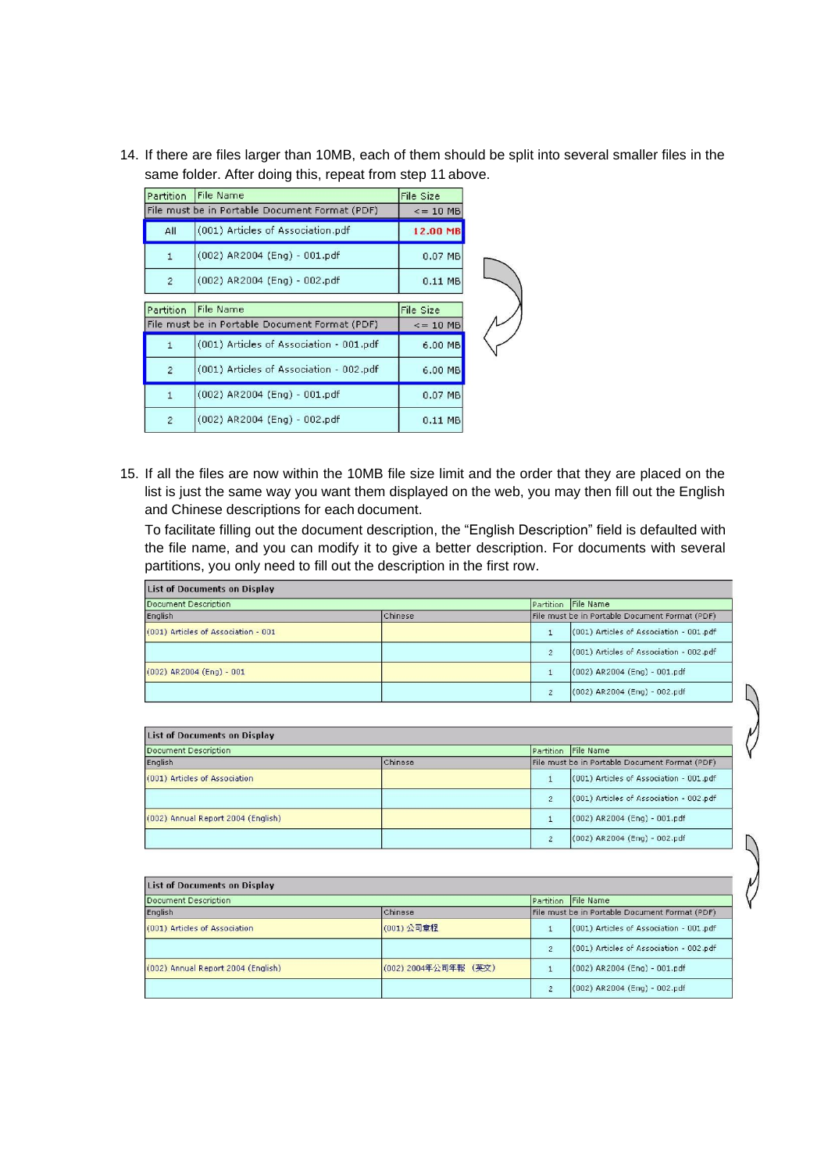14. If there are files larger than 10MB, each of them should be split into several smaller files in the same folder. After doing this, repeat from step 11 above.

|                | Partition File Name                            | File Size      |  |
|----------------|------------------------------------------------|----------------|--|
|                | File must be in Portable Document Format (PDF) | $\leq$ = 10 MB |  |
| All            | (001) Articles of Association.pdf              | 12.00 MB       |  |
| $\mathbf{1}$   | $(002)$ AR2004 (Eng) - 001.pdf                 | $0.07$ MB      |  |
| $\overline{2}$ | (002) AR2004 (Eng) - 002.pdf                   | $0.11$ MB      |  |
| Partition      | <b>File Name</b>                               | File Size      |  |
|                | File must be in Portable Document Format (PDF) | $\le$ = 10 MB  |  |
| $\mathbf{1}$   | (001) Articles of Association - 001.pdf        | 6.00 MB        |  |
| $\overline{2}$ | (001) Articles of Association - 002.pdf        | 6.00 MB        |  |
| $\mathbf{1}$   | $(002)$ AR2004 (Eng) - 001.pdf                 | 0.07 MB        |  |
| $\overline{2}$ | (002) AR2004 (Eng) - 002.pdf                   | 0.11 MB        |  |

15. If all the files are now within the 10MB file size limit and the order that they are placed on the list is just the same way you want them displayed on the web, you may then fill out the English and Chinese descriptions for each document.

To facilitate filling out the document description, the "English Description" field is defaulted with the file name, and you can modify it to give a better description. For documents with several partitions, you only need to fill out the description in the first row.

| <b>List of Documents on Display</b> |  |                                                |                                         |
|-------------------------------------|--|------------------------------------------------|-----------------------------------------|
| Document Description                |  |                                                | Partition File Name                     |
| English<br>Chinese                  |  | File must be in Portable Document Format (PDF) |                                         |
| (001) Articles of Association - 001 |  |                                                | (001) Articles of Association - 001.pdf |
|                                     |  | $\overline{2}$                                 | (001) Articles of Association - 002.pdf |
| $(002)$ AR2004 (Eng) - 001          |  |                                                | $(002)$ AR2004 (Eng) - 001.pdf          |
|                                     |  | ,                                              | (002) AR2004 (Eng) - 002.pdf            |

| List of Documents on Display       |         |           |                                                |
|------------------------------------|---------|-----------|------------------------------------------------|
| Document Description               |         | Partition | File Name                                      |
| English                            | Chinese |           | File must be in Portable Document Format (PDF) |
| (001) Articles of Association      |         |           | (001) Articles of Association - 001.pdf        |
|                                    |         | ۰,        | (001) Articles of Association - 002.pdf        |
| (002) Annual Report 2004 (English) |         |           | $(002)$ AR2004 (Eng) - 001.pdf                 |
|                                    |         |           | (002) AR2004 (Eng) - 002.pdf                   |

 $\bigwedge$ 

| <b>List of Documents on Display</b> |                      |                |                                                |  |
|-------------------------------------|----------------------|----------------|------------------------------------------------|--|
| Document Description                |                      |                | Partition File Name                            |  |
| English                             | Chinese              |                | File must be in Portable Document Format (PDF) |  |
| (001) Articles of Association       | (001) 公司章程           |                | (001) Articles of Association - 001.pdf        |  |
|                                     |                      | $\overline{c}$ | (001) Articles of Association - 002.pdf        |  |
| (002) Annual Report 2004 (English)  | (002) 2004年公司年報 (英文) |                | $(002)$ AR2004 (Eng) - 001.pdf                 |  |
|                                     |                      |                | (002) AR2004 (Eng) - 002.pdf                   |  |